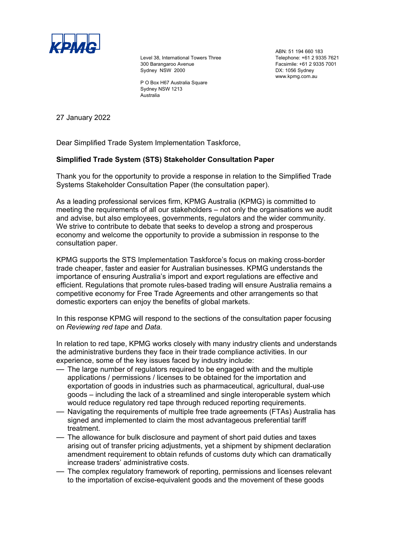

Level 38, International Towers Three 300 Barangaroo Avenue Sydney NSW 2000

P O Box H67 Australia Square Sydney NSW 1213 Australia

ABN: 51 194 660 183 Telephone: +61 2 9335 7621 Facsimile: +61 2 9335 7001 DX: 1056 Sydney www.kpmg.com.au

27 January 2022

Dear Simplified Trade System Implementation Taskforce,

## **Simplified Trade System (STS) Stakeholder Consultation Paper**

Thank you for the opportunity to provide a response in relation to the Simplified Trade Systems Stakeholder Consultation Paper (the consultation paper).

As a leading professional services firm, KPMG Australia (KPMG) is committed to meeting the requirements of all our stakeholders – not only the organisations we audit and advise, but also employees, governments, regulators and the wider community. We strive to contribute to debate that seeks to develop a strong and prosperous economy and welcome the opportunity to provide a submission in response to the consultation paper.

KPMG supports the STS Implementation Taskforce's focus on making cross-border trade cheaper, faster and easier for Australian businesses. KPMG understands the importance of ensuring Australia's import and export regulations are effective and efficient. Regulations that promote rules-based trading will ensure Australia remains a competitive economy for Free Trade Agreements and other arrangements so that domestic exporters can enjoy the benefits of global markets.

In this response KPMG will respond to the sections of the consultation paper focusing on *Reviewing red tape* and *Data.*

In relation to red tape, KPMG works closely with many industry clients and understands the administrative burdens they face in their trade compliance activities. In our experience, some of the key issues faced by industry include:

- The large number of regulators required to be engaged with and the multiple applications / permissions / licenses to be obtained for the importation and exportation of goods in industries such as pharmaceutical, agricultural, dual-use goods – including the lack of a streamlined and single interoperable system which would reduce regulatory red tape through reduced reporting requirements.
- Navigating the requirements of multiple free trade agreements (FTAs) Australia has signed and implemented to claim the most advantageous preferential tariff treatment.
- The allowance for bulk disclosure and payment of short paid duties and taxes arising out of transfer pricing adjustments, yet a shipment by shipment declaration amendment requirement to obtain refunds of customs duty which can dramatically increase traders' administrative costs.
- The complex regulatory framework of reporting, permissions and licenses relevant to the importation of excise-equivalent goods and the movement of these goods